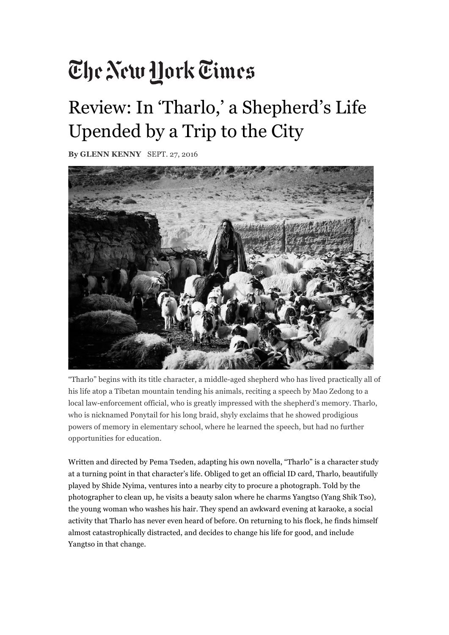# The New Hork Times

### Review: In 'Tharlo,' a Shepherd's Life Upended by a Trip to the City

**By GLENN KENNY** SEPT. 27, 2016



"Tharlo" begins with its title character, a middle-aged shepherd who has lived practically all of his life atop a Tibetan mountain tending his animals, reciting a speech by Mao Zedong to a local law-enforcement official, who is greatly impressed with the shepherd's memory. Tharlo, who is nicknamed Ponytail for his long braid, shyly exclaims that he showed prodigious powers of memory in elementary school, where he learned the speech, but had no further opportunities for education.

Written and directed by Pema Tseden, adapting his own novella, "Tharlo" is a character study at a turning point in that character's life. Obliged to get an official ID card, Tharlo, beautifully played by Shide Nyima, ventures into a nearby city to procure a photograph. Told by the photographer to clean up, he visits a beauty salon where he charms Yangtso (Yang Shik Tso), the young woman who washes his hair. They spend an awkward evening at karaoke, a social activity that Tharlo has never even heard of before. On returning to his flock, he finds himself almost catastrophically distracted, and decides to change his life for good, and include Yangtso in that change.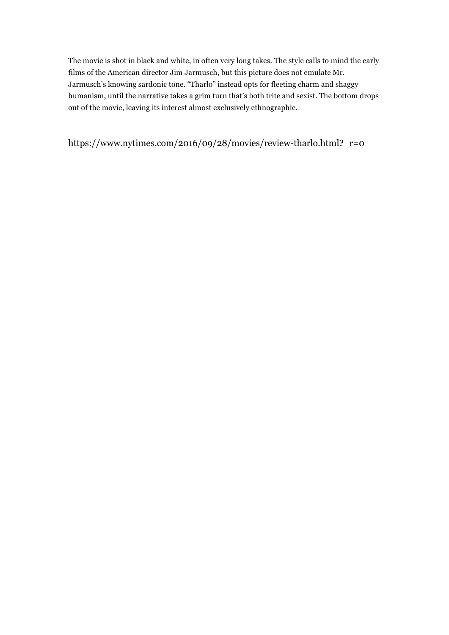The movie is shot in black and white, in often very long takes. The style calls to mind the early films of the American director Jim Jarmusch, but this picture does not emulate Mr. Jarmusch's knowing sardonic tone. "Tharlo" instead opts for fleeting charm and shaggy humanism, until the narrative takes a grim turn that's both trite and sexist. The bottom drops out of the movie, leaving its interest almost exclusively ethnographic.

https://www.nytimes.com/2016/09/28/movies/review-tharlo.html?\_r=0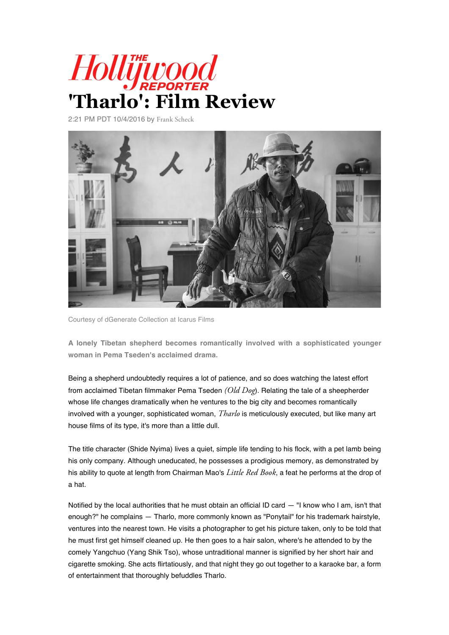

2:21 PM PDT 10/4/2016 by Frank Scheck



Courtesy of dGenerate Collection at Icarus Films

**A lonely Tibetan shepherd becomes romantically involved with a sophisticated younger woman in Pema Tseden's acclaimed drama.**

Being a shepherd undoubtedly requires a lot of patience, and so does watching the latest effort from acclaimed Tibetan filmmaker Pema Tseden *(Old Dog*). Relating the tale of a sheepherder whose life changes dramatically when he ventures to the big city and becomes romantically involved with a younger, sophisticated woman, *Tharlo* is meticulously executed, but like many art house films of its type, it's more than a little dull.

The title character (Shide Nyima) lives a quiet, simple life tending to his flock, with a pet lamb being his only company. Although uneducated, he possesses a prodigious memory, as demonstrated by his ability to quote at length from Chairman Mao's *Little Red Book*, a feat he performs at the drop of a hat.

Notified by the local authorities that he must obtain an official ID card — "I know who I am, isn't that enough?" he complains — Tharlo, more commonly known as "Ponytail" for his trademark hairstyle, ventures into the nearest town. He visits a photographer to get his picture taken, only to be told that he must first get himself cleaned up. He then goes to a hair salon, where's he attended to by the comely Yangchuo (Yang Shik Tso), whose untraditional manner is signified by her short hair and cigarette smoking. She acts flirtatiously, and that night they go out together to a karaoke bar, a form of entertainment that thoroughly befuddles Tharlo.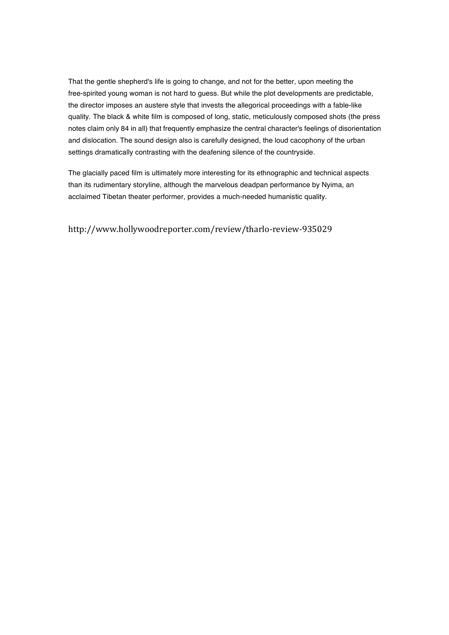That the gentle shepherd's life is going to change, and not for the better, upon meeting the free-spirited young woman is not hard to guess. But while the plot developments are predictable, the director imposes an austere style that invests the allegorical proceedings with a fable-like quality. The black & white film is composed of long, static, meticulously composed shots (the press notes claim only 84 in all) that frequently emphasize the central character's feelings of disorientation and dislocation. The sound design also is carefully designed, the loud cacophony of the urban settings dramatically contrasting with the deafening silence of the countryside.

The glacially paced film is ultimately more interesting for its ethnographic and technical aspects than its rudimentary storyline, although the marvelous deadpan performance by Nyima, an acclaimed Tibetan theater performer, provides a much-needed humanistic quality.

http://www.hollywoodreporter.com/review/tharlo-review-935029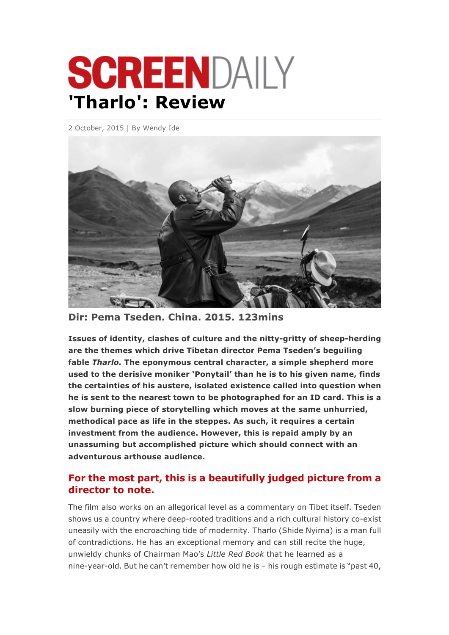# SCREENDAILY **'Tharlo': Review**

2 October, 2015 | By Wendy Ide



**Dir: Pema Tseden. China. 2015. 123mins**

**Issues of identity, clashes of culture and the nitty-gritty of sheep-herding are the themes which drive Tibetan director Pema Tseden's beguiling fable** *Tharlo.* **The eponymous central character, a simple shepherd more used to the derisive moniker 'Ponytail' than he is to his given name, finds the certainties of his austere, isolated existence called into question when he is sent to the nearest town to be photographed for an ID card. This is a slow burning piece of storytelling which moves at the same unhurried, methodical pace as life in the steppes. As such, it requires a certain investment from the audience. However, this is repaid amply by an unassuming but accomplished picture which should connect with an adventurous arthouse audience.**

#### **For the most part, this is a beautifully judged picture from a director to note.**

The film also works on an allegorical level as a commentary on Tibet itself. Tseden shows us a country where deep-rooted traditions and a rich cultural history co-exist uneasily with the encroaching tide of modernity. Tharlo (Shide Nyima) is a man full of contradictions. He has an exceptional memory and can still recite the huge, unwieldy chunks of Chairman Mao's *Little Red Book* that he learned as a nine-year-old. But he can't remember how old he is – his rough estimate is "past 40,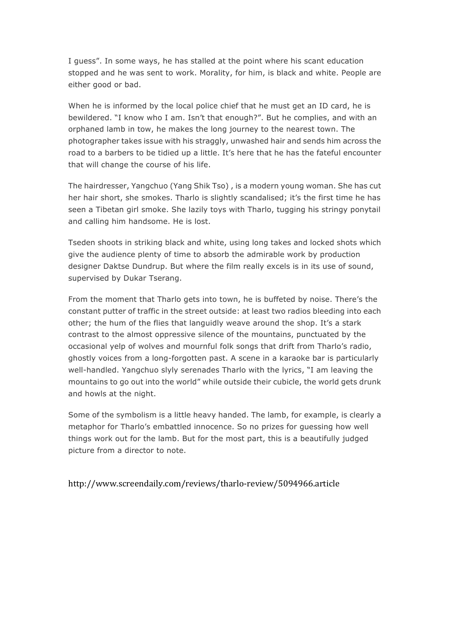I guess". In some ways, he has stalled at the point where his scant education stopped and he was sent to work. Morality, for him, is black and white. People are either good or bad.

When he is informed by the local police chief that he must get an ID card, he is bewildered. "I know who I am. Isn't that enough?". But he complies, and with an orphaned lamb in tow, he makes the long journey to the nearest town. The photographer takes issue with his straggly, unwashed hair and sends him across the road to a barbers to be tidied up a little. It's here that he has the fateful encounter that will change the course of his life.

The hairdresser, Yangchuo (Yang Shik Tso) , is a modern young woman. She has cut her hair short, she smokes. Tharlo is slightly scandalised; it's the first time he has seen a Tibetan girl smoke. She lazily toys with Tharlo, tugging his stringy ponytail and calling him handsome. He is lost.

Tseden shoots in striking black and white, using long takes and locked shots which give the audience plenty of time to absorb the admirable work by production designer Daktse Dundrup. But where the film really excels is in its use of sound, supervised by Dukar Tserang.

From the moment that Tharlo gets into town, he is buffeted by noise. There's the constant putter of traffic in the street outside: at least two radios bleeding into each other; the hum of the flies that languidly weave around the shop. It's a stark contrast to the almost oppressive silence of the mountains, punctuated by the occasional yelp of wolves and mournful folk songs that drift from Tharlo's radio, ghostly voices from a long-forgotten past. A scene in a karaoke bar is particularly well-handled. Yangchuo slyly serenades Tharlo with the lyrics, "I am leaving the mountains to go out into the world" while outside their cubicle, the world gets drunk and howls at the night.

Some of the symbolism is a little heavy handed. The lamb, for example, is clearly a metaphor for Tharlo's embattled innocence. So no prizes for guessing how well things work out for the lamb. But for the most part, this is a beautifully judged picture from a director to note.

http://www.screendaily.com/reviews/tharlo-review/5094966.article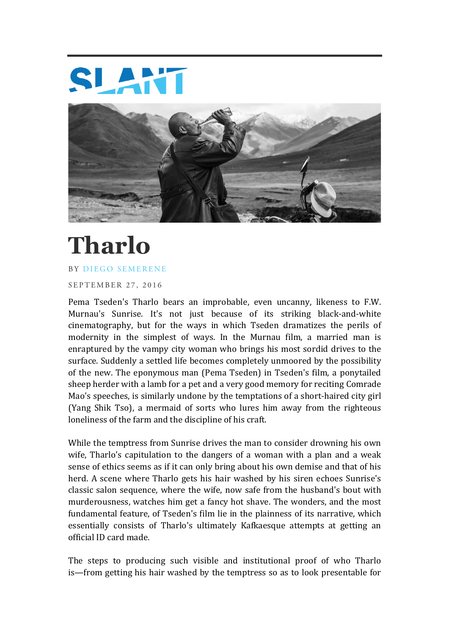



# **Tharlo**

#### BY DIEGO SEMERENE

SEPTEMBER 27, 2016

Pema Tseden's Tharlo bears an improbable, even uncanny, likeness to F.W. Murnau's Sunrise. It's not just because of its striking black-and-white cinematography, but for the ways in which Tseden dramatizes the perils of modernity in the simplest of ways. In the Murnau film, a married man is enraptured by the vampy city woman who brings his most sordid drives to the surface. Suddenly a settled life becomes completely unmoored by the possibility of the new. The eponymous man (Pema Tseden) in Tseden's film, a ponytailed sheep herder with a lamb for a pet and a very good memory for reciting Comrade Mao's speeches, is similarly undone by the temptations of a short-haired city girl (Yang Shik Tso), a mermaid of sorts who lures him away from the righteous loneliness of the farm and the discipline of his craft.

While the temptress from Sunrise drives the man to consider drowning his own wife, Tharlo's capitulation to the dangers of a woman with a plan and a weak sense of ethics seems as if it can only bring about his own demise and that of his herd. A scene where Tharlo gets his hair washed by his siren echoes Sunrise's classic salon sequence, where the wife, now safe from the husband's bout with murderousness, watches him get a fancy hot shave. The wonders, and the most fundamental feature, of Tseden's film lie in the plainness of its narrative, which essentially consists of Tharlo's ultimately Kafkaesque attempts at getting an official ID card made.

The steps to producing such visible and institutional proof of who Tharlo is—from getting his hair washed by the temptress so as to look presentable for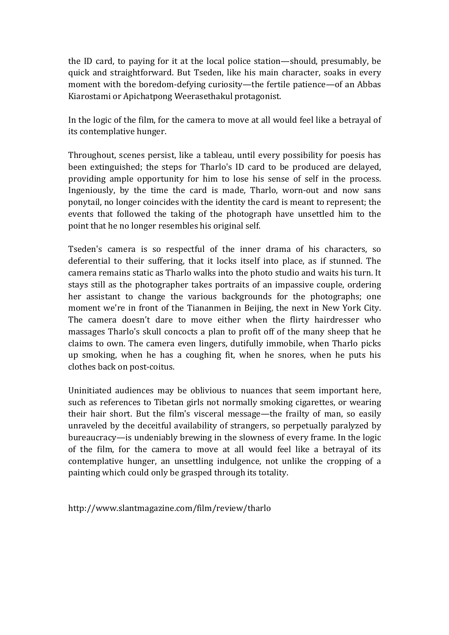the ID card, to paying for it at the local police station—should, presumably, be quick and straightforward. But Tseden, like his main character, soaks in every moment with the boredom-defying curiosity—the fertile patience—of an Abbas Kiarostami or Apichatpong Weerasethakul protagonist.

In the logic of the film, for the camera to move at all would feel like a betrayal of its contemplative hunger.

Throughout, scenes persist, like a tableau, until every possibility for poesis has been extinguished; the steps for Tharlo's ID card to be produced are delayed, providing ample opportunity for him to lose his sense of self in the process. Ingeniously, by the time the card is made, Tharlo, worn-out and now sans ponytail, no longer coincides with the identity the card is meant to represent; the events that followed the taking of the photograph have unsettled him to the point that he no longer resembles his original self.

Tseden's camera is so respectful of the inner drama of his characters, so deferential to their suffering, that it locks itself into place, as if stunned. The camera remains static as Tharlo walks into the photo studio and waits his turn. It stays still as the photographer takes portraits of an impassive couple, ordering her assistant to change the various backgrounds for the photographs; one moment we're in front of the Tiananmen in Beijing, the next in New York City. The camera doesn't dare to move either when the flirty hairdresser who massages Tharlo's skull concocts a plan to profit off of the many sheep that he claims to own. The camera even lingers, dutifully immobile, when Tharlo picks up smoking, when he has a coughing fit, when he snores, when he puts his clothes back on post-coitus.

Uninitiated audiences may be oblivious to nuances that seem important here, such as references to Tibetan girls not normally smoking cigarettes, or wearing their hair short. But the film's visceral message—the frailty of man, so easily unraveled by the deceitful availability of strangers, so perpetually paralyzed by bureaucracy—is undeniably brewing in the slowness of every frame. In the logic of the film, for the camera to move at all would feel like a betrayal of its contemplative hunger, an unsettling indulgence, not unlike the cropping of a painting which could only be grasped through its totality.

http://www.slantmagazine.com/film/review/tharlo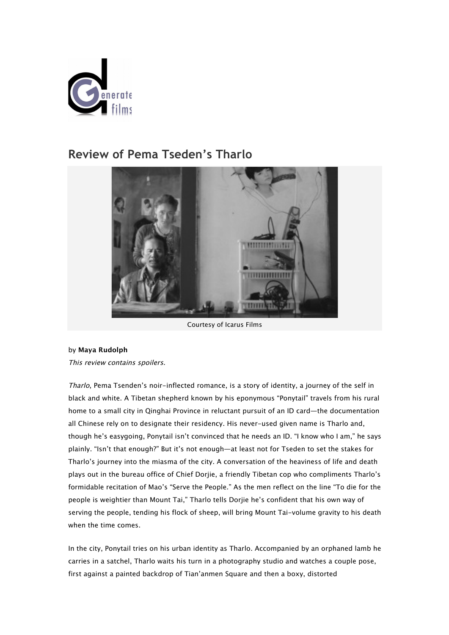

### **Review of Pema Tseden's Tharlo**



Courtesy of Icarus Films

#### by **Maya Rudolph**

This review contains spoilers.

Tharlo, Pema Tsenden's noir-inflected romance, is a story of identity, a journey of the self in black and white. A Tibetan shepherd known by his eponymous "Ponytail" travels from his rural home to a small city in Qinghai Province in reluctant pursuit of an ID card—the documentation all Chinese rely on to designate their residency. His never-used given name is Tharlo and, though he's easygoing, Ponytail isn't convinced that he needs an ID. "I know who I am," he says plainly. "Isn't that enough?" But it's not enough—at least not for Tseden to set the stakes for Tharlo's journey into the miasma of the city. A conversation of the heaviness of life and death plays out in the bureau office of Chief Dorjie, a friendly Tibetan cop who compliments Tharlo's formidable recitation of Mao's "Serve the People." As the men reflect on the line "To die for the people is weightier than Mount Tai," Tharlo tells Dorjie he's confident that his own way of serving the people, tending his flock of sheep, will bring Mount Tai-volume gravity to his death when the time comes.

In the city, Ponytail tries on his urban identity as Tharlo. Accompanied by an orphaned lamb he carries in a satchel, Tharlo waits his turn in a photography studio and watches a couple pose, first against a painted backdrop of Tian'anmen Square and then a boxy, distorted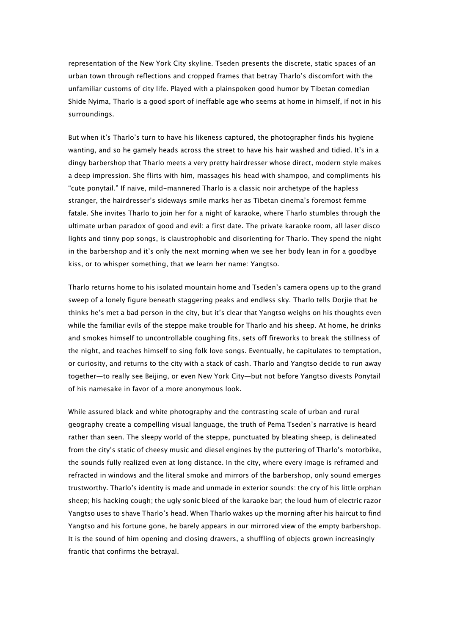representation of the New York City skyline. Tseden presents the discrete, static spaces of an urban town through reflections and cropped frames that betray Tharlo's discomfort with the unfamiliar customs of city life. Played with a plainspoken good humor by Tibetan comedian Shide Nyima, Tharlo is a good sport of ineffable age who seems at home in himself, if not in his surroundings.

But when it's Tharlo's turn to have his likeness captured, the photographer finds his hygiene wanting, and so he gamely heads across the street to have his hair washed and tidied. It's in a dingy barbershop that Tharlo meets a very pretty hairdresser whose direct, modern style makes a deep impression. She flirts with him, massages his head with shampoo, and compliments his "cute ponytail." If naive, mild-mannered Tharlo is a classic noir archetype of the hapless stranger, the hairdresser's sideways smile marks her as Tibetan cinema's foremost femme fatale. She invites Tharlo to join her for a night of karaoke, where Tharlo stumbles through the ultimate urban paradox of good and evil: a first date. The private karaoke room, all laser disco lights and tinny pop songs, is claustrophobic and disorienting for Tharlo. They spend the night in the barbershop and it's only the next morning when we see her body lean in for a goodbye kiss, or to whisper something, that we learn her name: Yangtso.

Tharlo returns home to his isolated mountain home and Tseden's camera opens up to the grand sweep of a lonely figure beneath staggering peaks and endless sky. Tharlo tells Dorjie that he thinks he's met a bad person in the city, but it's clear that Yangtso weighs on his thoughts even while the familiar evils of the steppe make trouble for Tharlo and his sheep. At home, he drinks and smokes himself to uncontrollable coughing fits, sets off fireworks to break the stillness of the night, and teaches himself to sing folk love songs. Eventually, he capitulates to temptation, or curiosity, and returns to the city with a stack of cash. Tharlo and Yangtso decide to run away together—to really see Beijing, or even New York City—but not before Yangtso divests Ponytail of his namesake in favor of a more anonymous look.

While assured black and white photography and the contrasting scale of urban and rural geography create a compelling visual language, the truth of Pema Tseden's narrative is heard rather than seen. The sleepy world of the steppe, punctuated by bleating sheep, is delineated from the city's static of cheesy music and diesel engines by the puttering of Tharlo's motorbike, the sounds fully realized even at long distance. In the city, where every image is reframed and refracted in windows and the literal smoke and mirrors of the barbershop, only sound emerges trustworthy. Tharlo's identity is made and unmade in exterior sounds: the cry of his little orphan sheep; his hacking cough; the ugly sonic bleed of the karaoke bar; the loud hum of electric razor Yangtso uses to shave Tharlo's head. When Tharlo wakes up the morning after his haircut to find Yangtso and his fortune gone, he barely appears in our mirrored view of the empty barbershop. It is the sound of him opening and closing drawers, a shuffling of objects grown increasingly frantic that confirms the betrayal.